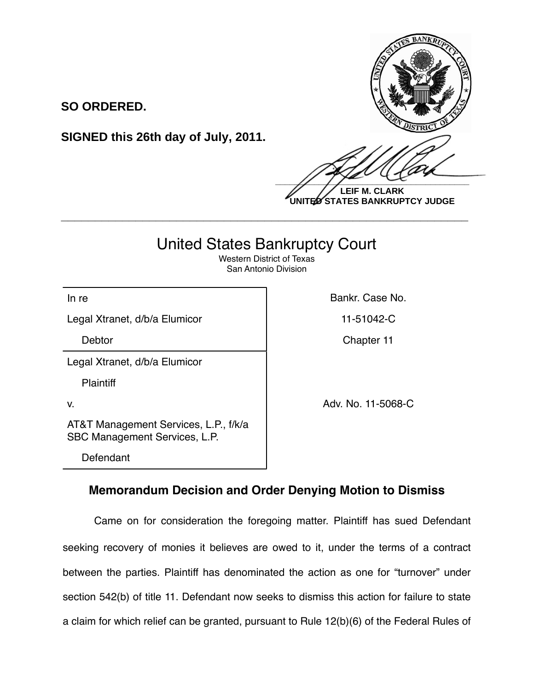

**LEIF M. CLARK UNITED STATES BANKRUPTCY JUDGE**

## United States Bankruptcy Court

**\_\_\_\_\_\_\_\_\_\_\_\_\_\_\_\_\_\_\_\_\_\_\_\_\_\_\_\_\_\_\_\_\_\_\_\_\_\_\_\_\_\_\_\_\_\_\_\_\_\_\_\_\_\_\_\_\_\_\_\_**

Western District of Texas San Antonio Division

Legal Xtranet, d/b/a Elumicor | 11-51042-C

**SO ORDERED.**

In re **Bankr. Case No. In re** Bankr. Case No.

Debtor **Chapter 11** Chapter 11

Legal Xtranet, d/b/a Elumicor

**Plaintiff** 

AT&T Management Services, L.P., f/k/a SBC Management Services, L.P.

**SIGNED this 26th day of July, 2011.**

Defendant

v. Adv. No. 11-5068-C

## **Memorandum Decision and Order Denying Motion to Dismiss**

Came on for consideration the foregoing matter. Plaintiff has sued Defendant seeking recovery of monies it believes are owed to it, under the terms of a contract between the parties. Plaintiff has denominated the action as one for "turnover" under section 542(b) of title 11. Defendant now seeks to dismiss this action for failure to state a claim for which relief can be granted, pursuant to Rule 12(b)(6) of the Federal Rules of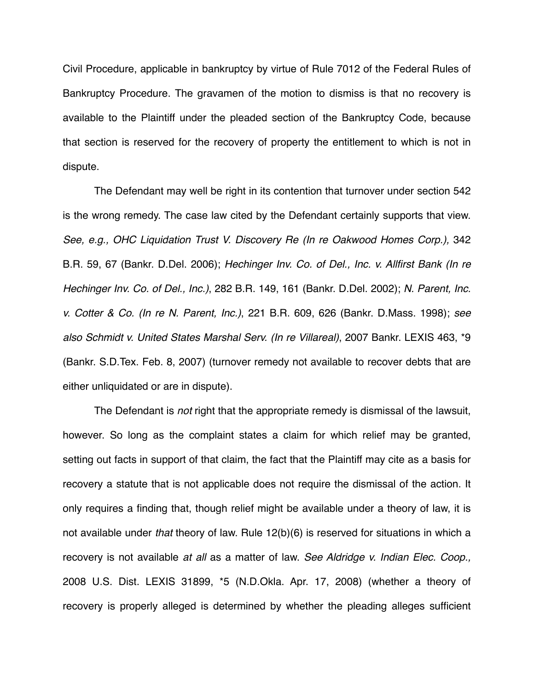Civil Procedure, applicable in bankruptcy by virtue of Rule 7012 of the Federal Rules of Bankruptcy Procedure. The gravamen of the motion to dismiss is that no recovery is available to the Plaintiff under the pleaded section of the Bankruptcy Code, because that section is reserved for the recovery of property the entitlement to which is not in dispute.

The Defendant may well be right in its contention that turnover under section 542 is the wrong remedy. The case law cited by the Defendant certainly supports that view. See, e.g., OHC Liquidation Trust V. Discovery Re (In re Oakwood Homes Corp.), 342 B.R. 59, 67 (Bankr. D.Del. 2006); *Hechinger Inv. Co. of Del., Inc. v. Allfirst Bank (In re Hechinger Inv. Co. of Del., Inc.)*, 282 B.R. 149, 161 (Bankr. D.Del. 2002); *N. Parent, Inc. v. Cotter & Co. (In re N. Parent, Inc.)*, 221 B.R. 609, 626 (Bankr. D.Mass. 1998); *see also Schmidt v. United States Marshal Serv. (In re Villareal)*, 2007 Bankr. LEXIS 463, \*9 (Bankr. S.D.Tex. Feb. 8, 2007) (turnover remedy not available to recover debts that are either unliquidated or are in dispute).

The Defendant is *not* right that the appropriate remedy is dismissal of the lawsuit, however. So long as the complaint states a claim for which relief may be granted, setting out facts in support of that claim, the fact that the Plaintiff may cite as a basis for recovery a statute that is not applicable does not require the dismissal of the action. It only requires a finding that, though relief might be available under a theory of law, it is not available under *that* theory of law. Rule 12(b)(6) is reserved for situations in which a recovery is not available *at all* as a matter of law. *See Aldridge v. Indian Elec. Coop.,*  2008 U.S. Dist. LEXIS 31899, \*5 (N.D.Okla. Apr. 17, 2008) (whether a theory of recovery is properly alleged is determined by whether the pleading alleges sufficient